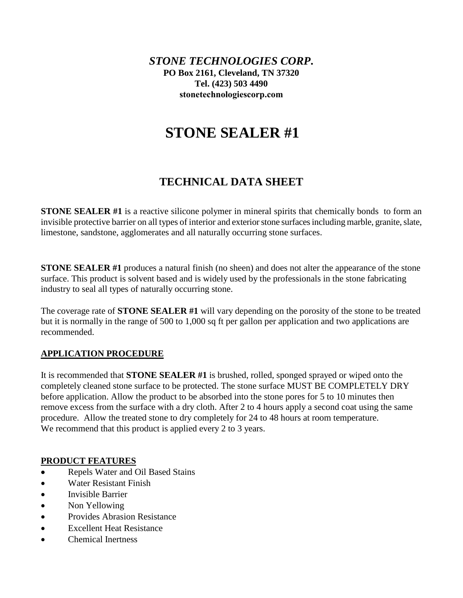*STONE TECHNOLOGIES CORP***. PO Box 2161, Cleveland, TN 37320 Tel. (423) 503 4490 [stonetechnologiescorp.com](http://www.stonetechnologiesinc.com/)**

# **STONE SEALER #1**

## **TECHNICAL DATA SHEET**

**STONE SEALER #1** is a reactive silicone polymer in mineral spirits that chemically bonds to form an invisible protective barrier on all types of interior and exterior stone surfaces including marble, granite, slate, limestone, sandstone, agglomerates and all naturally occurring stone surfaces.

**STONE SEALER #1** produces a natural finish (no sheen) and does not alter the appearance of the stone surface. This product is solvent based and is widely used by the professionals in the stone fabricating industry to seal all types of naturally occurring stone.

The coverage rate of **STONE SEALER #1** will vary depending on the porosity of the stone to be treated but it is normally in the range of 500 to 1,000 sq ft per gallon per application and two applications are recommended.

### **APPLICATION PROCEDURE**

It is recommended that **STONE SEALER #1** is brushed, rolled, sponged sprayed or wiped onto the completely cleaned stone surface to be protected. The stone surface MUST BE COMPLETELY DRY before application. Allow the product to be absorbed into the stone pores for 5 to 10 minutes then remove excess from the surface with a dry cloth. After 2 to 4 hours apply a second coat using the same procedure. Allow the treated stone to dry completely for 24 to 48 hours at room temperature. We recommend that this product is applied every 2 to 3 years.

#### **PRODUCT FEATURES**

- Repels Water and Oil Based Stains
- Water Resistant Finish
- Invisible Barrier
- Non Yellowing
- Provides Abrasion Resistance
- Excellent Heat Resistance
- Chemical Inertness